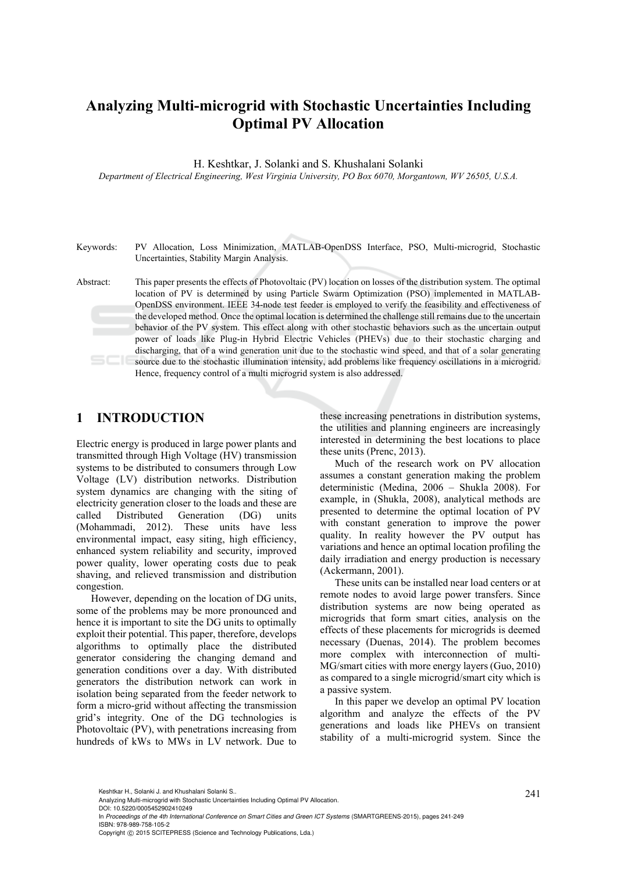# **Analyzing Multi-microgrid with Stochastic Uncertainties Including Optimal PV Allocation**

H. Keshtkar, J. Solanki and S. Khushalani Solanki

*Department of Electrical Engineering, West Virginia University, PO Box 6070, Morgantown, WV 26505, U.S.A.* 

Keywords: PV Allocation, Loss Minimization, MATLAB-OpenDSS Interface, PSO, Multi-microgrid, Stochastic Uncertainties, Stability Margin Analysis.

Abstract: This paper presents the effects of Photovoltaic (PV) location on losses of the distribution system. The optimal location of PV is determined by using Particle Swarm Optimization (PSO) implemented in MATLAB-OpenDSS environment. IEEE 34-node test feeder is employed to verify the feasibility and effectiveness of the developed method. Once the optimal location is determined the challenge still remains due to the uncertain behavior of the PV system. This effect along with other stochastic behaviors such as the uncertain output power of loads like Plug-in Hybrid Electric Vehicles (PHEVs) due to their stochastic charging and discharging, that of a wind generation unit due to the stochastic wind speed, and that of a solar generating source due to the stochastic illumination intensity, add problems like frequency oscillations in a microgrid. Hence, frequency control of a multi microgrid system is also addressed.

## **1 INTRODUCTION**

Electric energy is produced in large power plants and transmitted through High Voltage (HV) transmission systems to be distributed to consumers through Low Voltage (LV) distribution networks. Distribution system dynamics are changing with the siting of electricity generation closer to the loads and these are called Distributed Generation (DG) units (Mohammadi, 2012). These units have less environmental impact, easy siting, high efficiency, enhanced system reliability and security, improved power quality, lower operating costs due to peak shaving, and relieved transmission and distribution congestion.

However, depending on the location of DG units, some of the problems may be more pronounced and hence it is important to site the DG units to optimally exploit their potential. This paper, therefore, develops algorithms to optimally place the distributed generator considering the changing demand and generation conditions over a day. With distributed generators the distribution network can work in isolation being separated from the feeder network to form a micro-grid without affecting the transmission grid's integrity. One of the DG technologies is Photovoltaic (PV), with penetrations increasing from hundreds of kWs to MWs in LV network. Due to these increasing penetrations in distribution systems, the utilities and planning engineers are increasingly interested in determining the best locations to place these units (Prenc, 2013).

Much of the research work on PV allocation assumes a constant generation making the problem deterministic (Medina, 2006 – Shukla 2008). For example, in (Shukla, 2008), analytical methods are presented to determine the optimal location of PV with constant generation to improve the power quality. In reality however the PV output has variations and hence an optimal location profiling the daily irradiation and energy production is necessary (Ackermann, 2001).

These units can be installed near load centers or at remote nodes to avoid large power transfers. Since distribution systems are now being operated as microgrids that form smart cities, analysis on the effects of these placements for microgrids is deemed necessary (Duenas, 2014). The problem becomes more complex with interconnection of multi-MG/smart cities with more energy layers (Guo, 2010) as compared to a single microgrid/smart city which is a passive system.

In this paper we develop an optimal PV location algorithm and analyze the effects of the PV generations and loads like PHEVs on transient stability of a multi-microgrid system. Since the

Keshtkar H., Solanki J. and Khushalani Solanki S..<br>Analyzing Multi-microgrid with Stochastic Uncertainties Including Optimal PV Allocation.

DOI: 10.5220/0005452902410249

In *Proceedings of the 4th International Conference on Smart Cities and Green ICT Systems* (SMARTGREENS-2015), pages 241-249 ISBN: 978-989-758-105-2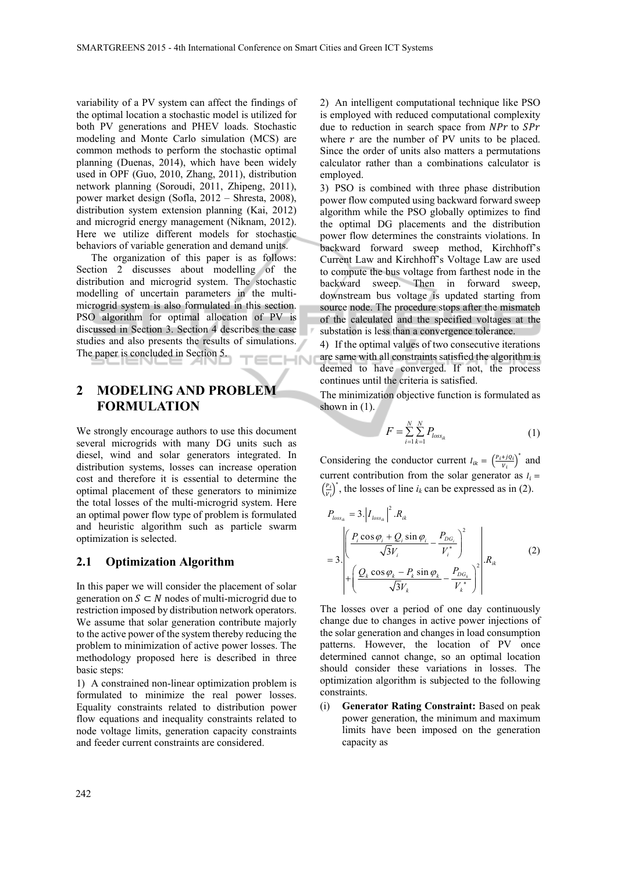variability of a PV system can affect the findings of the optimal location a stochastic model is utilized for both PV generations and PHEV loads. Stochastic modeling and Monte Carlo simulation (MCS) are common methods to perform the stochastic optimal planning (Duenas, 2014), which have been widely used in OPF (Guo, 2010, Zhang, 2011), distribution network planning (Soroudi, 2011, Zhipeng, 2011), power market design (Sofla, 2012 – Shresta, 2008), distribution system extension planning (Kai, 2012) and microgrid energy management (Niknam, 2012). Here we utilize different models for stochastic behaviors of variable generation and demand units.

The organization of this paper is as follows: Section 2 discusses about modelling of the distribution and microgrid system. The stochastic modelling of uncertain parameters in the multimicrogrid system is also formulated in this section. PSO algorithm for optimal allocation of PV is discussed in Section 3. Section 4 describes the case studies and also presents the results of simulations. The paper is concluded in Section 5. IN

## **2 MODELING AND PROBLEM FORMULATION**

We strongly encourage authors to use this document several microgrids with many DG units such as diesel, wind and solar generators integrated. In distribution systems, losses can increase operation cost and therefore it is essential to determine the optimal placement of these generators to minimize the total losses of the multi-microgrid system. Here an optimal power flow type of problem is formulated and heuristic algorithm such as particle swarm optimization is selected.

### **2.1 Optimization Algorithm**

In this paper we will consider the placement of solar generation on  $S \subset N$  nodes of multi-microgrid due to restriction imposed by distribution network operators. We assume that solar generation contribute majorly to the active power of the system thereby reducing the problem to minimization of active power losses. The methodology proposed here is described in three basic steps:

1) A constrained non-linear optimization problem is formulated to minimize the real power losses. Equality constraints related to distribution power flow equations and inequality constraints related to node voltage limits, generation capacity constraints and feeder current constraints are considered.

2) An intelligent computational technique like PSO is employed with reduced computational complexity due to reduction in search space from  $NPr$  to  $SPr$ where  $r$  are the number of PV units to be placed. Since the order of units also matters a permutations calculator rather than a combinations calculator is employed.

3) PSO is combined with three phase distribution power flow computed using backward forward sweep algorithm while the PSO globally optimizes to find the optimal DG placements and the distribution power flow determines the constraints violations. In backward forward sweep method, Kirchhoff's Current Law and Kirchhoff's Voltage Law are used to compute the bus voltage from farthest node in the backward sweep. Then in forward sweep, downstream bus voltage is updated starting from source node. The procedure stops after the mismatch of the calculated and the specified voltages at the substation is less than a convergence tolerance.

4) If the optimal values of two consecutive iterations are same with all constraints satisfied the algorithm is deemed to have converged. If not, the process continues until the criteria is satisfied.

The minimization objective function is formulated as shown in  $(1)$ .

$$
F = \sum_{i=1}^{N} \sum_{k=1}^{N} P_{loss_{ik}} \tag{1}
$$

Considering the conductor current  $I_{ik} = \left(\frac{P_i + jQ_i}{V_i}\right)^*$  and current contribution from the solar generator as  $I_i =$  $\left(\frac{P_i}{V_i}\right)^*$ , the losses of line *i<sub>k</sub>* can be expressed as in (2).

$$
P_{loss_{ik}} = 3. |I_{loss_{ik}}|^2 . R_{ik}
$$
  
= 3. 
$$
\left| \frac{P_i \cos \varphi_i + Q_i \sin \varphi_i}{\sqrt{3}V_i} - \frac{P_{DG_i}}{V_i^*} \right|^2 + \left( \frac{Q_k \cos \varphi_k - P_k \sin \varphi_k}{\sqrt{3}V_k} - \frac{P_{DG_k}}{V_k^*} \right)^2 \right| R_{ik}
$$
 (2)

The losses over a period of one day continuously change due to changes in active power injections of the solar generation and changes in load consumption patterns. However, the location of PV once determined cannot change, so an optimal location should consider these variations in losses. The optimization algorithm is subjected to the following constraints.

(i) **Generator Rating Constraint:** Based on peak power generation, the minimum and maximum limits have been imposed on the generation capacity as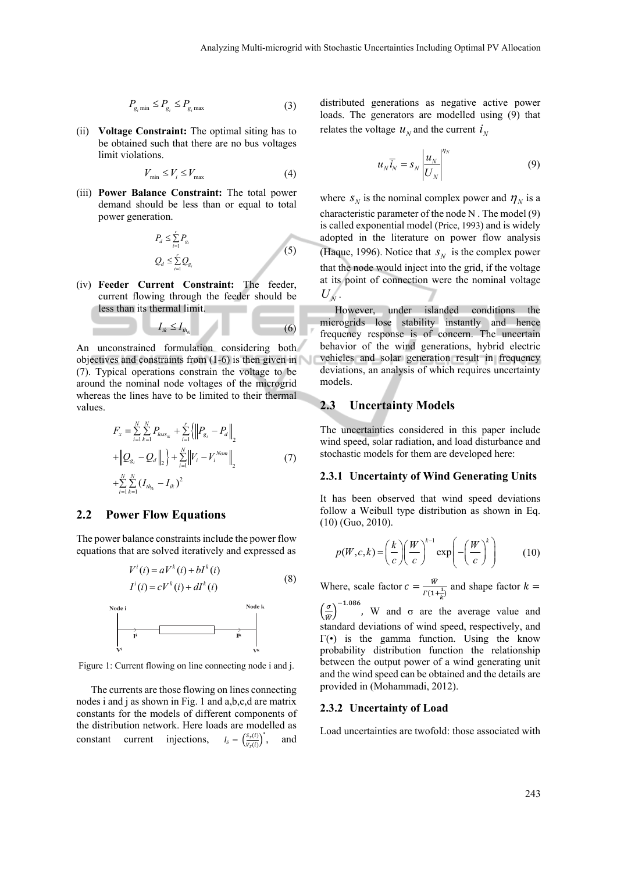$$
P_{g_i \min} \le P_{g_i} \le P_{g_i \max} \tag{3}
$$

(ii) **Voltage Constraint:** The optimal siting has to be obtained such that there are no bus voltages limit violations.

$$
V_{\min} \le V_i \le V_{\max} \tag{4}
$$

(iii) **Power Balance Constraint:** The total power demand should be less than or equal to total power generation.

$$
P_d \le \sum_{i=1}^r P_{g_i}
$$
  

$$
Q_d \le \sum_{i=1}^r Q_{g_i}
$$
 (5)

 $I_{ik} \leq I_{th}$  (6)

(iv) **Feeder Current Constraint:** The feeder, current flowing through the feeder should be less than its thermal limit.

An unconstrained formulation considering both objectives and constraints from (1-6) is then given in (7). Typical operations constrain the voltage to be around the nominal node voltages of the microgrid whereas the lines have to be limited to their thermal values.

$$
F_{x} = \sum_{i=1}^{N} \sum_{k=1}^{N} P_{loss_{ik}} + \sum_{i=1}^{r} {\left\| P_{g_{i}} - P_{d} \right\|}_{2}
$$
  
+ 
$$
\left\| Q_{g_{i}} - Q_{d} \right\|_{2} + \sum_{i=1}^{N} \left\| V_{i} - V_{i}^{Nom} \right\|_{2}
$$
  
+ 
$$
\sum_{i=1}^{N} \sum_{k=1}^{N} (I_{th_{ik}} - I_{ik})^{2}
$$
 (7)

### **2.2 Power Flow Equations**

The power balance constraints include the power flow equations that are solved iteratively and expressed as

$$
V^{i}(i) = aV^{k}(i) + bI^{k}(i)
$$
\n
$$
I^{i}(i) = cV^{k}(i) + dI^{k}(i)
$$
\n
$$
V^{def}
$$
\n
$$
V^{def}
$$
\n
$$
V^{def}
$$
\n
$$
V^{def}
$$
\n
$$
V^{def}
$$
\n
$$
V^{def}
$$
\n
$$
V^{def}
$$
\n
$$
V^{def}
$$
\n
$$
V^{def}
$$
\n
$$
V^{def}
$$
\n
$$
V^{def}
$$
\n
$$
V^{def}
$$
\n
$$
V^{def}
$$
\n
$$
V^{def}
$$
\n
$$
V^{def}
$$
\n
$$
V^{def}
$$
\n
$$
V^{def}
$$
\n
$$
V^{def}
$$
\n
$$
V^{def}
$$
\n
$$
V^{def}
$$
\n
$$
V^{def}
$$
\n
$$
V^{def}
$$
\n
$$
V^{def}
$$
\n
$$
V^{def}
$$
\n
$$
V^{def}
$$
\n
$$
V^{def}
$$
\n
$$
V^{def}
$$
\n
$$
V^{def}
$$
\n
$$
V^{def}
$$
\n
$$
V^{def}
$$
\n
$$
V^{def}
$$
\n
$$
V^{def}
$$
\n
$$
V^{def}
$$
\n
$$
V^{def}
$$
\n
$$
V^{def}
$$
\n
$$
V^{def}
$$
\n
$$
V^{def}
$$
\n
$$
V^{def}
$$
\n
$$
V^{def}
$$
\n
$$
V^{def}
$$
\n
$$
V^{def}
$$
\n
$$
V^{def}
$$
\n
$$
V^{def}
$$
\n
$$
V^{def}
$$
\n
$$
V^{def}
$$
\n
$$
V^{def}
$$
\n
$$
V^{def}
$$
\n
$$
V^{def}
$$
\n
$$
V^{def}
$$
\n
$$
V^{def}
$$
\n
$$
V^{def}
$$
\n
$$
V^{def}
$$
\n
$$
V^{def}
$$
\n
$$
V^{def}
$$
\n<



Figure 1: Current flowing on line connecting node i and j.

The currents are those flowing on lines connecting nodes i and j as shown in Fig. 1 and a,b,c,d are matrix constants for the models of different components of the distribution network. Here loads are modelled as constant current injections,  $I_s = \left(\frac{S_s(i)}{V_s(i)}\right)^*$ and

distributed generations as negative active power loads. The generators are modelled using (9) that relates the voltage  $u<sub>N</sub>$  and the current  $i<sub>N</sub>$ 

$$
u_N \overline{i}_N = s_N \left| \frac{u_N}{U_N} \right|^{n_N} \tag{9}
$$

where  $S_N$  is the nominal complex power and  $\eta_N$  is a characteristic parameter of the node N . The model (9) is called exponential model (Price, 1993) and is widely adopted in the literature on power flow analysis (Haque, 1996). Notice that  $S_N$  is the complex power that the node would inject into the grid, if the voltage at its point of connection were the nominal voltage  $U_N$ .

However, under islanded conditions the microgrids lose stability instantly and hence frequency response is of concern. The uncertain behavior of the wind generations, hybrid electric vehicles and solar generation result in frequency deviations, an analysis of which requires uncertainty models.

## **2.3 Uncertainty Models**

The uncertainties considered in this paper include wind speed, solar radiation, and load disturbance and stochastic models for them are developed here:

#### **2.3.1 Uncertainty of Wind Generating Units**

It has been observed that wind speed deviations follow a Weibull type distribution as shown in Eq. (10) (Guo, 2010).

$$
p(W, c, k) = \left(\frac{k}{c}\right) \left(\frac{W}{c}\right)^{k-1} \exp\left(-\left(\frac{W}{c}\right)^k\right) \tag{10}
$$

Where, scale factor  $c = \frac{\overline{w}}{\overline{w}}$  $\Gamma(1+\frac{1}{k})$ and shape factor  $k =$ 

 $\left(\frac{\sigma}{\overline{w}}\right)^{-1.086}$ , W and  $\sigma$  are the average value and standard deviations of wind speed, respectively, and  $\Gamma(\cdot)$  is the gamma function. Using the know probability distribution function the relationship between the output power of a wind generating unit and the wind speed can be obtained and the details are provided in (Mohammadi, 2012).

#### **2.3.2 Uncertainty of Load**

Load uncertainties are twofold: those associated with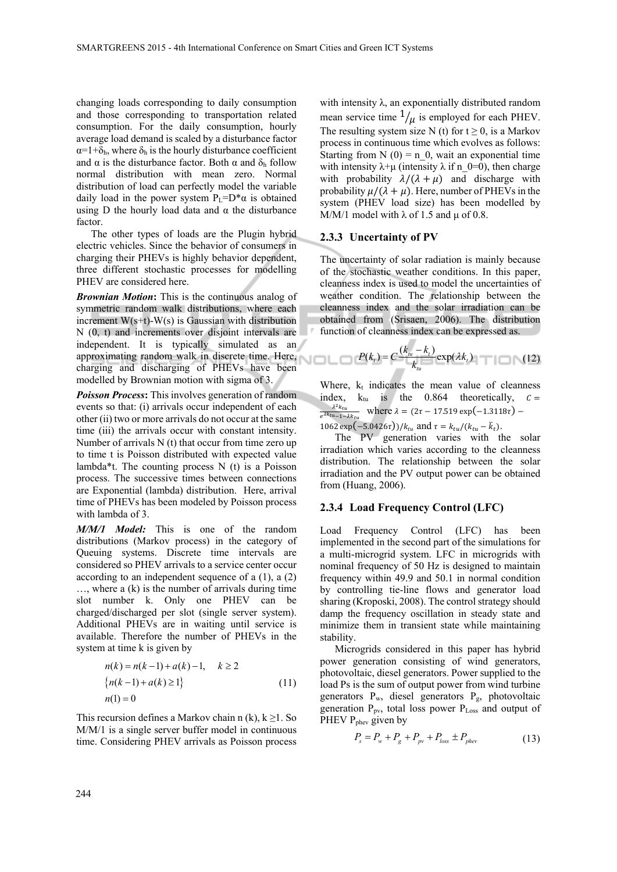changing loads corresponding to daily consumption and those corresponding to transportation related consumption. For the daily consumption, hourly average load demand is scaled by a disturbance factor  $\alpha=1+\delta_h$ , where  $\delta_h$  is the hourly disturbance coefficient and  $\alpha$  is the disturbance factor. Both  $\alpha$  and  $\delta_h$  follow normal distribution with mean zero. Normal distribution of load can perfectly model the variable daily load in the power system  $P_L=D^*\alpha$  is obtained using D the hourly load data and  $\alpha$  the disturbance factor.

The other types of loads are the Plugin hybrid electric vehicles. Since the behavior of consumers in charging their PHEVs is highly behavior dependent, three different stochastic processes for modelling PHEV are considered here.

*Brownian Motion***:** This is the continuous analog of symmetric random walk distributions, where each increment  $W(s+t)$ -W(s) is Gaussian with distribution N (0, t) and increments over disjoint intervals are independent. It is typically simulated as an approximating random walk in discrete time. Here, charging and discharging of PHEVs have been modelled by Brownian motion with sigma of 3.

*Poisson Process***:** This involves generation of random events so that: (i) arrivals occur independent of each other (ii) two or more arrivals do not occur at the same time (iii) the arrivals occur with constant intensity. Number of arrivals  $N(t)$  that occur from time zero up to time t is Poisson distributed with expected value lambda\*t. The counting process  $N(t)$  is a Poisson process. The successive times between connections are Exponential (lambda) distribution. Here, arrival time of PHEVs has been modeled by Poisson process with lambda of 3.

*M/M/1 Model:* This is one of the random distributions (Markov process) in the category of Queuing systems. Discrete time intervals are considered so PHEV arrivals to a service center occur according to an independent sequence of a (1), a (2) …, where a (k) is the number of arrivals during time slot number k. Only one PHEV can be charged/discharged per slot (single server system). Additional PHEVs are in waiting until service is available. Therefore the number of PHEVs in the system at time k is given by

$$
n(k) = n(k-1) + a(k) - 1, \quad k \ge 2
$$
  
\n
$$
\{n(k-1) + a(k) \ge 1\}
$$
  
\n
$$
n(1) = 0
$$
 (11)

This recursion defines a Markov chain n (k),  $k \ge 1$ . So M/M/1 is a single server buffer model in continuous time. Considering PHEV arrivals as Poisson process

with intensity λ, an exponentially distributed random mean service time  $\frac{1}{\mu}$  is employed for each PHEV. The resulting system size N (t) for  $t \ge 0$ , is a Markov process in continuous time which evolves as follows: Starting from N  $(0) = n_0$ , wait an exponential time with intensity  $\lambda + \mu$  (intensity  $\lambda$  if n\_0=0), then charge with probability  $\lambda/(\lambda + \mu)$  and discharge with probability  $\mu/(\lambda + \mu)$ . Here, number of PHEVs in the system (PHEV load size) has been modelled by M/M/1 model with  $\lambda$  of 1.5 and  $\mu$  of 0.8.

#### **2.3.3 Uncertainty of PV**

The uncertainty of solar radiation is mainly because of the stochastic weather conditions. In this paper, cleanness index is used to model the uncertainties of weather condition. The relationship between the cleanness index and the solar irradiation can be obtained from (Srisaen, 2006). The distribution function of cleanness index can be expressed as.

$$
P(k_t) = C \frac{(k_{tt} - k_t)}{k_{tu}} \exp(\lambda k_t) \tag{12}
$$

Where,  $k_t$  indicates the mean value of cleanness index,  $k_{tu}$  is the 0.864 theoretically,  $c =$  $\lambda^2 k_{tu}$  $\frac{\lambda^2 k_{tu}}{e^{\lambda k_{tu}-1-\lambda k_{tu}}}$  where  $\lambda = (2\tau - 17.519 \exp(-1.3118\tau) -$ 1062 exp(-5.0426τ))/ $k_{tu}$  and  $\tau = k_{tu}/(k_{tu} - \bar{k}_t)$ .

The PV generation varies with the solar irradiation which varies according to the cleanness distribution. The relationship between the solar irradiation and the PV output power can be obtained from (Huang, 2006).

#### **2.3.4 Load Frequency Control (LFC)**

Load Frequency Control (LFC) has been implemented in the second part of the simulations for a multi-microgrid system. LFC in microgrids with nominal frequency of 50 Hz is designed to maintain frequency within 49.9 and 50.1 in normal condition by controlling tie-line flows and generator load sharing (Kroposki, 2008). The control strategy should damp the frequency oscillation in steady state and minimize them in transient state while maintaining stability.

Microgrids considered in this paper has hybrid power generation consisting of wind generators, photovoltaic, diesel generators. Power supplied to the load Ps is the sum of output power from wind turbine generators Pw, diesel generators Pg, photovoltaic generation  $P_{pv}$ , total loss power  $P_{Loss}$  and output of PHEV P<sub>phev</sub> given by

$$
P_s = P_w + P_g + P_{pv} + P_{loss} \pm P_{phev}
$$
 (13)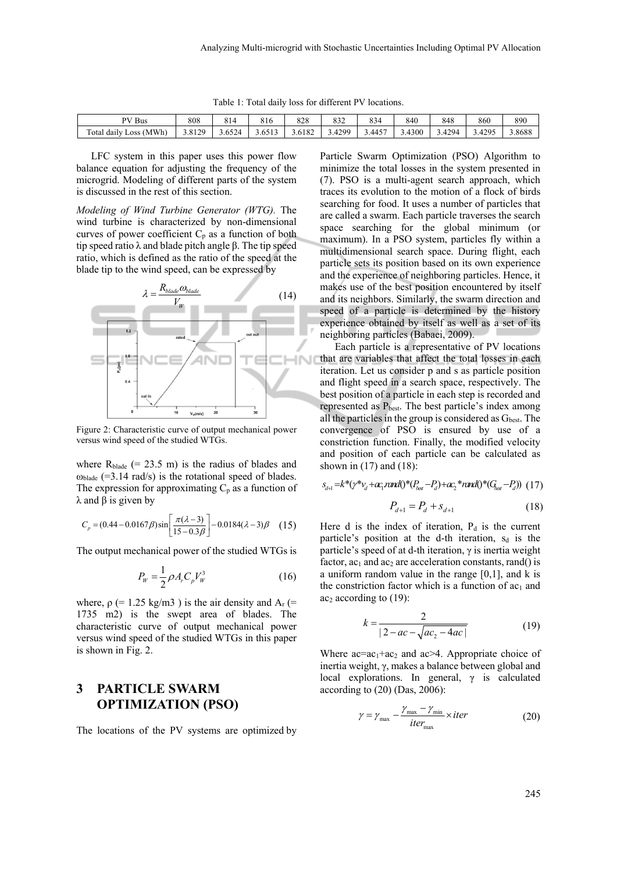| PV Bus                             | 808    | O 1.<br>Οŀ | 816                 | 000<br>ه∠ه | 0.25<br>832        | 834    | 840    | 848     | 860          | 890    |
|------------------------------------|--------|------------|---------------------|------------|--------------------|--------|--------|---------|--------------|--------|
| (MWh)<br>Total<br>.1 daily<br>Loss | 3.8129 |            | ъ,<br><u>J.UJIJ</u> | 3.6182     | 1299<br>д<br>$-14$ | 3.4457 | 3.4300 | 4294ء ر | 1205<br>᠇᠘ノJ | 3.8688 |

Table 1: Total daily loss for different PV locations.

LFC system in this paper uses this power flow balance equation for adjusting the frequency of the microgrid. Modeling of different parts of the system is discussed in the rest of this section.

*Modeling of Wind Turbine Generator (WTG).* The wind turbine is characterized by non-dimensional curves of power coefficient  $C_p$  as a function of both tip speed ratio λ and blade pitch angle β. The tip speed ratio, which is defined as the ratio of the speed at the blade tip to the wind speed, can be expressed by



Figure 2: Characteristic curve of output mechanical power versus wind speed of the studied WTGs.

where  $R_{\text{black}}$  (= 23.5 m) is the radius of blades and  $\omega_{\text{blade}}$  (=3.14 rad/s) is the rotational speed of blades. The expression for approximating  $C_p$  as a function of  $λ$  and  $β$  is given by

$$
C_p = (0.44 - 0.0167\beta)\sin\left[\frac{\pi(\lambda - 3)}{15 - 0.3\beta}\right] - 0.0184(\lambda - 3)\beta \quad (15)
$$

The output mechanical power of the studied WTGs is

$$
P_W = \frac{1}{2} \rho A_r C_p V_W^3 \tag{16}
$$

where,  $\rho$  (= 1.25 kg/m3) is the air density and A<sub>r</sub> (= 1735 m2) is the swept area of blades. The characteristic curve of output mechanical power versus wind speed of the studied WTGs in this paper is shown in Fig. 2.

## **3 PARTICLE SWARM OPTIMIZATION (PSO)**

The locations of the PV systems are optimized by

Particle Swarm Optimization (PSO) Algorithm to minimize the total losses in the system presented in (7). PSO is a multi-agent search approach, which traces its evolution to the motion of a flock of birds searching for food. It uses a number of particles that are called a swarm. Each particle traverses the search space searching for the global minimum (or maximum). In a PSO system, particles fly within a multidimensional search space. During flight, each particle sets its position based on its own experience and the experience of neighboring particles. Hence, it makes use of the best position encountered by itself and its neighbors. Similarly, the swarm direction and speed of a particle is determined by the history experience obtained by itself as well as a set of its neighboring particles (Babaei, 2009).

Each particle is a representative of PV locations that are variables that affect the total losses in each iteration. Let us consider p and s as particle position and flight speed in a search space, respectively. The best position of a particle in each step is recorded and represented as  $P_{best}$ . The best particle's index among all the particles in the group is considered as  $G_{best}$ . The convergence of PSO is ensured by use of a constriction function. Finally, the modified velocity and position of each particle can be calculated as shown in (17) and (18):

$$
S_{d+1} = k^*(\gamma^* \gamma_d + a c_1 \text{ and } 0^*(P_{\text{best}} - P_d) + a c_2^* \text{ and } 0^*(G_{\text{best}} - P_d))
$$
 (17)

$$
P_{d+1} = P_d + s_{d+1} \tag{18}
$$

Here d is the index of iteration,  $P_d$  is the current particle's position at the d-th iteration,  $s_d$  is the particle's speed of at d-th iteration, γ is inertia weight factor,  $ac_1$  and  $ac_2$  are acceleration constants, rand() is a uniform random value in the range [0,1], and k is the constriction factor which is a function of  $ac_1$  and  $ac<sub>2</sub> according to (19):$ 

$$
k = \frac{2}{|2 - ac - \sqrt{ac_2 - 4ac}|} \tag{19}
$$

Where  $ac = ac<sub>1</sub> + ac<sub>2</sub>$  and  $ac > 4$ . Appropriate choice of inertia weight, γ, makes a balance between global and local explorations. In general,  $\gamma$  is calculated according to (20) (Das, 2006):

$$
\gamma = \gamma_{\text{max}} - \frac{\gamma_{\text{max}} - \gamma_{\text{min}}}{iter_{\text{max}}} \times iter \tag{20}
$$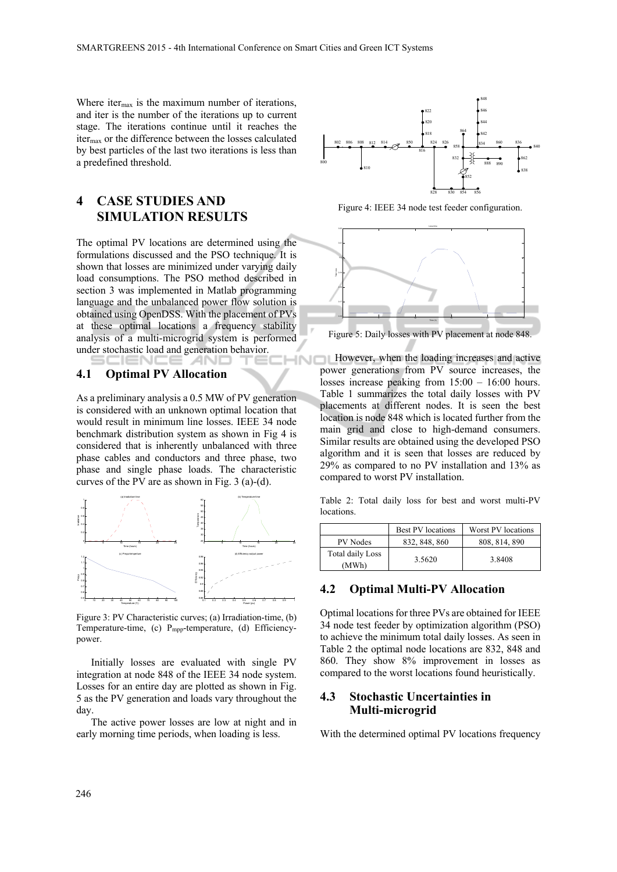Where iter $_{\text{max}}$  is the maximum number of iterations, and iter is the number of the iterations up to current stage. The iterations continue until it reaches the itermax or the difference between the losses calculated by best particles of the last two iterations is less than a predefined threshold.

## **4 CASE STUDIES AND SIMULATION RESULTS**

The optimal PV locations are determined using the formulations discussed and the PSO technique. It is shown that losses are minimized under varying daily load consumptions. The PSO method described in section 3 was implemented in Matlab programming language and the unbalanced power flow solution is obtained using OpenDSS. With the placement of PVs at these optimal locations a frequency stability analysis of a multi-microgrid system is performed under stochastic load and generation behavior. HN<sub>I</sub>

-41

#### **4.1 Optimal PV Allocation**

EIEND

As a preliminary analysis a 0.5 MW of PV generation is considered with an unknown optimal location that would result in minimum line losses. IEEE 34 node benchmark distribution system as shown in Fig 4 is considered that is inherently unbalanced with three phase cables and conductors and three phase, two phase and single phase loads. The characteristic curves of the PV are as shown in Fig. 3 (a)-(d).



Figure 3: PV Characteristic curves; (a) Irradiation-time, (b) Temperature-time, (c) Pmpp-temperature, (d) Efficiencypower.

Initially losses are evaluated with single PV integration at node 848 of the IEEE 34 node system. Losses for an entire day are plotted as shown in Fig. 5 as the PV generation and loads vary throughout the day.

The active power losses are low at night and in early morning time periods, when loading is less.



Figure 4: IEEE 34 node test feeder configuration.



Figure 5: Daily losses with PV placement at node 848.

However, when the loading increases and active power generations from PV source increases, the losses increase peaking from 15:00 – 16:00 hours. Table 1 summarizes the total daily losses with PV placements at different nodes. It is seen the best location is node 848 which is located further from the main grid and close to high-demand consumers. Similar results are obtained using the developed PSO algorithm and it is seen that losses are reduced by 29% as compared to no PV installation and 13% as compared to worst PV installation.

Table 2: Total daily loss for best and worst multi-PV locations.

|                           | Best PV locations | Worst PV locations |
|---------------------------|-------------------|--------------------|
| PV Nodes                  | 832, 848, 860     | 808, 814, 890      |
| Total daily Loss<br>(MWh) | 3.5620            | 3.8408             |

### **4.2 Optimal Multi-PV Allocation**

Optimal locations for three PVs are obtained for IEEE 34 node test feeder by optimization algorithm (PSO) to achieve the minimum total daily losses. As seen in Table 2 the optimal node locations are 832, 848 and 860. They show 8% improvement in losses as compared to the worst locations found heuristically.

## **4.3 Stochastic Uncertainties in Multi-microgrid**

With the determined optimal PV locations frequency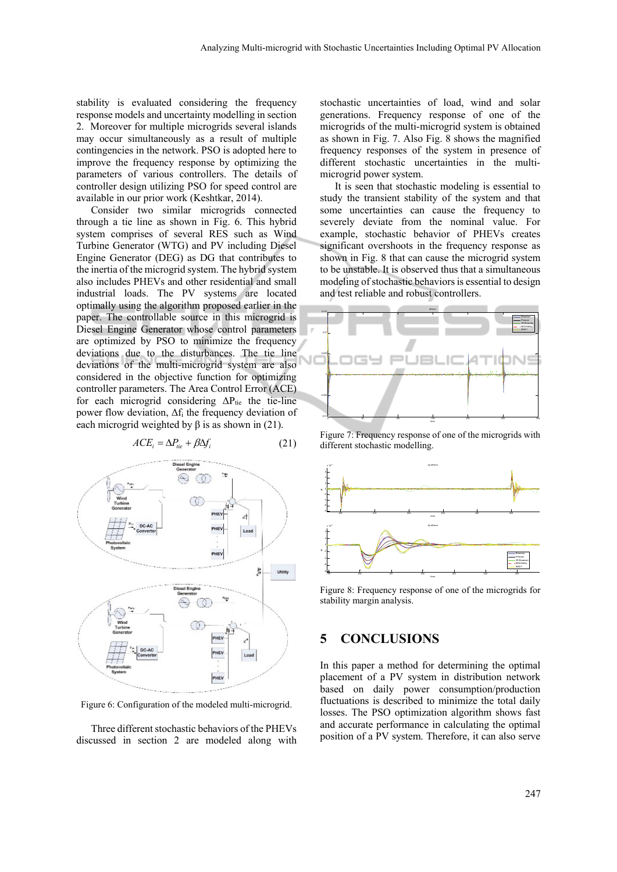stability is evaluated considering the frequency response models and uncertainty modelling in section 2. Moreover for multiple microgrids several islands may occur simultaneously as a result of multiple contingencies in the network. PSO is adopted here to improve the frequency response by optimizing the parameters of various controllers. The details of controller design utilizing PSO for speed control are available in our prior work (Keshtkar, 2014).

Consider two similar microgrids connected through a tie line as shown in Fig. 6. This hybrid system comprises of several RES such as Wind Turbine Generator (WTG) and PV including Diesel Engine Generator (DEG) as DG that contributes to the inertia of the microgrid system. The hybrid system also includes PHEVs and other residential and small industrial loads. The PV systems are located optimally using the algorithm proposed earlier in the paper. The controllable source in this microgrid is Diesel Engine Generator whose control parameters are optimized by PSO to minimize the frequency deviations due to the disturbances. The tie line deviations of the multi-microgrid system are also considered in the objective function for optimizing controller parameters. The Area Control Error (ACE) for each microgrid considering  $\Delta P_{\text{tie}}$  the tie-line power flow deviation,  $\Delta f_i$  the frequency deviation of each microgrid weighted by  $\beta$  is as shown in (21).

$$
ACEi = \Delta Ptie + \beta \Delta fi
$$
 (21)



Figure 6: Configuration of the modeled multi-microgrid.

Three different stochastic behaviors of the PHEVs discussed in section 2 are modeled along with

stochastic uncertainties of load, wind and solar generations. Frequency response of one of the microgrids of the multi-microgrid system is obtained as shown in Fig. 7. Also Fig. 8 shows the magnified frequency responses of the system in presence of different stochastic uncertainties in the multimicrogrid power system.

It is seen that stochastic modeling is essential to study the transient stability of the system and that some uncertainties can cause the frequency to severely deviate from the nominal value. For example, stochastic behavior of PHEVs creates significant overshoots in the frequency response as shown in Fig. 8 that can cause the microgrid system to be unstable. It is observed thus that a simultaneous modeling of stochastic behaviors is essential to design and test reliable and robust controllers.



Figure 7: Frequency response of one of the microgrids with different stochastic modelling.



Figure 8: Frequency response of one of the microgrids for stability margin analysis.

## **5 CONCLUSIONS**

In this paper a method for determining the optimal placement of a PV system in distribution network based on daily power consumption/production fluctuations is described to minimize the total daily losses. The PSO optimization algorithm shows fast and accurate performance in calculating the optimal position of a PV system. Therefore, it can also serve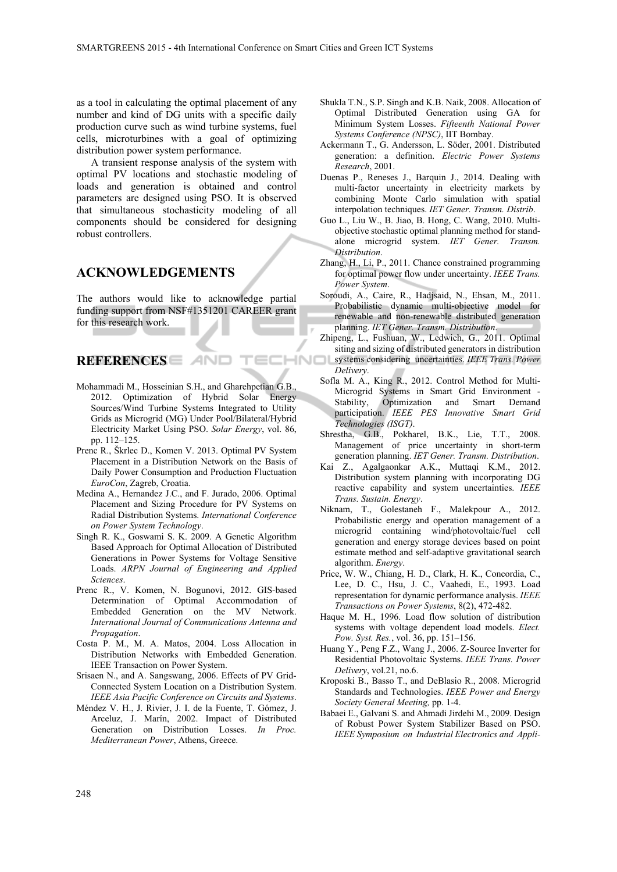as a tool in calculating the optimal placement of any number and kind of DG units with a specific daily production curve such as wind turbine systems, fuel cells, microturbines with a goal of optimizing distribution power system performance.

A transient response analysis of the system with optimal PV locations and stochastic modeling of loads and generation is obtained and control parameters are designed using PSO. It is observed that simultaneous stochasticity modeling of all components should be considered for designing robust controllers.

### **ACKNOWLEDGEMENTS**

The authors would like to acknowledge partial funding support from NSF#1351201 CAREER grant for this research work.

**AND** 

## **REFERENCES**

- Mohammadi M., Hosseinian S.H., and Gharehpetian G.B., 2012. Optimization of Hybrid Solar Energy Sources/Wind Turbine Systems Integrated to Utility Grids as Microgrid (MG) Under Pool/Bilateral/Hybrid Electricity Market Using PSO. *Solar Energy*, vol. 86, pp. 112–125.
- Prenc R., Škrlec D., Komen V. 2013. Optimal PV System Placement in a Distribution Network on the Basis of Daily Power Consumption and Production Fluctuation *EuroCon*, Zagreb, Croatia.
- Medina A., Hernandez J.C., and F. Jurado, 2006. Optimal Placement and Sizing Procedure for PV Systems on Radial Distribution Systems. *International Conference on Power System Technology*.
- Singh R. K., Goswami S. K. 2009. A Genetic Algorithm Based Approach for Optimal Allocation of Distributed Generations in Power Systems for Voltage Sensitive Loads. *ARPN Journal of Engineering and Applied Sciences*.
- Prenc R., V. Komen, N. Bogunovi, 2012. GIS-based Determination of Optimal Accommodation of Embedded Generation on the MV Network. *International Journal of Communications Antenna and Propagation*.
- Costa P. M., M. A. Matos, 2004. Loss Allocation in Distribution Networks with Embedded Generation. IEEE Transaction on Power System.
- Srisaen N., and A. Sangswang, 2006. Effects of PV Grid-Connected System Location on a Distribution System. *IEEE Asia Pacific Conference on Circuits and Systems*.
- Méndez V. H., J. Rivier, J. I. de la Fuente, T. Gómez, J. Arceluz, J. Marín, 2002. Impact of Distributed Generation on Distribution Losses. *In Proc. Mediterranean Power*, Athens, Greece.
- Shukla T.N., S.P. Singh and K.B. Naik, 2008. Allocation of Optimal Distributed Generation using GA for Minimum System Losses. *Fifteenth National Power Systems Conference (NPSC)*, IIT Bombay.
- Ackermann T., G. Andersson, L. Söder, 2001. Distributed generation: a definition. *Electric Power Systems Research*, 2001.
- Duenas P., Reneses J., Barquin J., 2014. Dealing with multi-factor uncertainty in electricity markets by combining Monte Carlo simulation with spatial interpolation techniques. *IET Gener. Transm. Distrib*.
- Guo L., Liu W., B. Jiao, B. Hong, C. Wang, 2010. Multiobjective stochastic optimal planning method for standalone microgrid system. *IET Gener. Transm. Distribution*.
- Zhang, H., Li, P., 2011. Chance constrained programming for optimal power flow under uncertainty. *IEEE Trans. Power System*.
- Soroudi, A., Caire, R., Hadjsaid, N., Ehsan, M., 2011. Probabilistic dynamic multi-objective model for renewable and non-renewable distributed generation planning. *IET Gener. Transm. Distribution*.
- Zhipeng, L., Fushuan, W., Ledwich, G., 2011. Optimal siting and sizing of distributed generators in distribution
- ECHNO systems considering uncertainties. *IEEE Trans. Power Delivery*.
	- Sofla M. A., King R., 2012. Control Method for Multi-Microgrid Systems in Smart Grid Environment - Stability, Optimization and Smart Demand participation. *IEEE PES Innovative Smart Grid Technologies (ISGT)*.
	- Shrestha, G.B., Pokharel, B.K., Lie, T.T., 2008. Management of price uncertainty in short-term generation planning. *IET Gener. Transm. Distribution*.
	- Kai Z., Agalgaonkar A.K., Muttaqi K.M., 2012. Distribution system planning with incorporating DG reactive capability and system uncertainties. *IEEE Trans. Sustain. Energy*.
	- Niknam, T., Golestaneh F., Malekpour A., 2012. Probabilistic energy and operation management of a microgrid containing wind/photovoltaic/fuel cell generation and energy storage devices based on point estimate method and self-adaptive gravitational search algorithm. *Energy*.
	- Price, W. W., Chiang, H. D., Clark, H. K., Concordia, C., Lee, D. C., Hsu, J. C., Vaahedi, E., 1993. Load representation for dynamic performance analysis. *IEEE Transactions on Power Systems*, 8(2), 472-482.
	- Haque M. H., 1996. Load flow solution of distribution systems with voltage dependent load models. *Elect. Pow. Syst. Res.*, vol. 36, pp. 151–156.
	- Huang Y., Peng F.Z., Wang J., 2006. Z-Source Inverter for Residential Photovoltaic Systems. *IEEE Trans. Power Delivery*, vol.21, no.6.
	- Kroposki B., Basso T., and DeBlasio R., 2008. Microgrid Standards and Technologies. *IEEE Power and Energy Society General Meeting,* pp. 1-4.
	- Babaei E., Galvani S. and Ahmadi Jirdehi M., 2009. Design of Robust Power System Stabilizer Based on PSO. *IEEE Symposium on Industrial Electronics and Appli-*